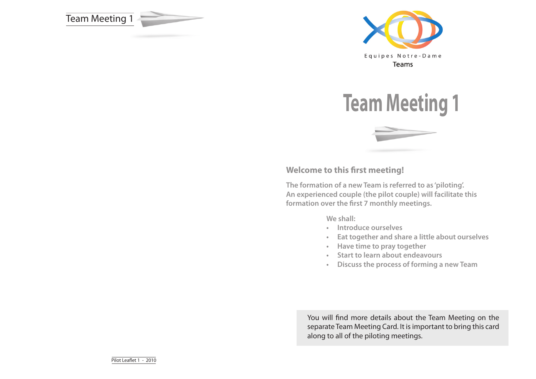Team Meeting 1







## **Welcome to this first meeting!**

**The formation of a new Team is referred to as 'piloting'. An experienced couple (the pilot couple) will facilitate this formation over the first 7 monthly meetings.**

**We shall:**

- **• Introduce ourselves**
- **• Eat together and share a little about ourselves**
- **• Have time to pray together**
- **• Start to learn about endeavours**
- **• Discuss the process of forming a new Team**

You will find more details about the Team Meeting on the separate Team Meeting Card. It is important to bring this card along to all of the piloting meetings.